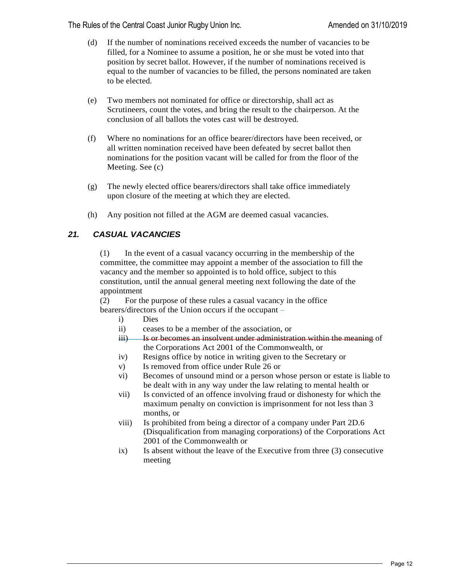## The Rules of the Central Coast Junior Rugby Union Inc. The Rules of the Central Coast Junior Rugby Union Inc.

- (d) If the number of nominations received exceeds the number of vacancies to be filled, for a Nominee to assume a position, he or she must be voted into that position by secret ballot. However, if the number of nominations received is equal to the number of vacancies to be filled, the persons nominated are taken to be elected.
- (e) Two members not nominated for office or directorship, shall act as Scrutineers, count the votes, and bring the result to the chairperson. At the conclusion of all ballots the votes cast will be destroyed.
- (f) Where no nominations for an office bearer/directors have been received, or all written nomination received have been defeated by secret ballot then nominations for the position vacant will be called for from the floor of the Meeting. See (c)
- (g) The newly elected office bearers/directors shall take office immediately upon closure of the meeting at which they are elected.
- (h) Any position not filled at the AGM are deemed casual vacancies.

# *21. CASUAL VACANCIES*

(1) In the event of a casual vacancy occurring in the membership of the committee, the committee may appoint a member of the association to fill the vacancy and the member so appointed is to hold office, subject to this constitution, until the annual general meeting next following the date of the appointment

(2) For the purpose of these rules a casual vacancy in the office bearers/directors of the Union occurs if the occupant –

- i) Dies
- ii) ceases to be a member of the association, or<br>iii) Is or becomes an insolvent under administrat
- Is or becomes an insolvent under administration within the meaning of the [Corporations Act 2001 o](http://www.comlaw.gov.au/)f the Commonwealth, or
- iv) Resigns office by notice in writing given to the Secretary or
- v) Is removed from office under Rule 26 or
- vi) Becomes of unsound mind or a person whose person or estate is liable to be dealt with in any way under the law relating to mental health or
- vii) Is convicted of an offence involving fraud or dishonesty for which the maximum penalty on conviction is imprisonment for not less than 3 months, or
- viii) Is prohibited from being a director of a company under Part 2D.6 (Disqualification from managing corporations) of the [Corporations Act](http://www.comlaw.gov.au/) [2001 o](http://www.comlaw.gov.au/)f the Commonwealth or
- ix) Is absent without the leave of the Executive from three (3) consecutive meeting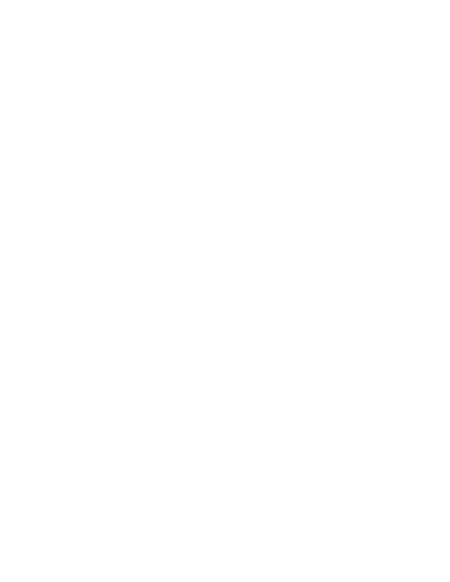The Rules of the Central Coast Junior Rugby Union Inc.

- If the number of nominations received exceeds the number of vacancies to be  $(d)$ filled, for a Nominee to assume a position, he or she must be voted into that position by secret ballot. However, if the number of nominations received is equal to the number of vacancies to be filled, the persons nominated are taken to be elected.
- $(e)$ Two members not nominated for office or directorship, shall act as Scrutineers, count the votes, and bring the result to the chairperson. At the conclusion of all ballots the votes cast will be destroyed.
- Where no nominations for an office bearer/directors have been received, or  $(f)$ all written nomination received have been defeated by secret ballot then nominations for the position vacant will be called for from the floor of the Meeting. See  $(c)$
- The newly elected office bearers/directors shall take office immediately  $(g)$ upon closure of the meeting at which they are elected.
- Any position not filled at the AGM are deemed casual vacancies.  $(h)$

#### $21.$ **CASUAL VACANCIES**

 $(1)$ In the event of a casual vacancy occurring in the membership of the committee, the committee may appoint a member of the association to fill the vacancy and the member so appointed is to hold office, subject to this constitution, until the annual general meeting next following the date of the appointment

For the purpose of these rules a casual vacancy in the office  $(2)$ bearers/directors of the Union occurs if the occupant –

- **Dies**  $i)$
- ceases to be a member of the association, or  $\mathbf{ii}$
- $\overline{iii}$ ) Is or becomes an insolvent under administration within the meaning of the Corporations Act 2001 of the Commonwealth, or
- Resigns office by notice in writing given to the Secretary or  $iv)$
- Is removed from office under Rule 26 or V)
- Becomes of unsound mind or a person whose person or estate is liable to vi) be dealt with in any way under the law relating to mental health or
- Is convicted of an offence involving fraud or dishonesty for which the vii) maximum penalty on conviction is imprisonment for not less than 3 months, or
- Is prohibited from being a director of a company under Part 2D.6 viii) (Disqualification from managing corporations) of the Corporations Act 2001 of the Commonwealth or
- Is absent without the leave of the Executive from three (3) consecutive  $ix)$ meeting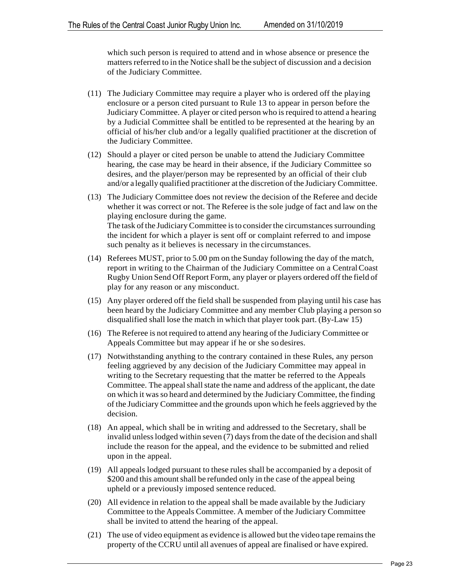which such person is required to attend and in whose absence or presence the matters referred to in the Notice shall be the subject of discussion and a decision of the Judiciary Committee.

- (11) The Judiciary Committee may require a player who is ordered off the playing enclosure or a person cited pursuant to Rule 13 to appear in person before the Judiciary Committee. A player or cited person who is required to attend a hearing by a Judicial Committee shall be entitled to be represented at the hearing by an official of his/her club and/or a legally qualified practitioner at the discretion of the Judiciary Committee.
- (12) Should a player or cited person be unable to attend the Judiciary Committee hearing, the case may be heard in their absence, if the Judiciary Committee so desires, and the player/person may be represented by an official of their club and/or a legally qualified practitioner at the discretion of the Judiciary Committee.
- (13) The Judiciary Committee does not review the decision of the Referee and decide whether it was correct or not. The Referee is the sole judge of fact and law on the playing enclosure during the game. The task of the Judiciary Committee isto consider the circumstances surrounding the incident for which a player is sent off or complaint referred to and impose such penalty as it believes is necessary in the circumstances.
- (14) Referees MUST, prior to 5.00 pm on the Sunday following the day of the match, report in writing to the Chairman of the Judiciary Committee on a Central Coast Rugby Union Send Off Report Form, any player or players ordered off the field of play for any reason or any misconduct.
- (15) Any player ordered off the field shall be suspended from playing until his case has been heard by the Judiciary Committee and any member Club playing a person so disqualified shall lose the match in which that player took part. (By-Law 15)
- (16) The Referee is not required to attend any hearing of the Judiciary Committee or Appeals Committee but may appear if he or she so desires.
- (17) Notwithstanding anything to the contrary contained in these Rules, any person feeling aggrieved by any decision of the Judiciary Committee may appeal in writing to the Secretary requesting that the matter be referred to the Appeals Committee. The appeal shall state the name and address of the applicant, the date on which it was so heard and determined by the Judiciary Committee, the finding of the Judiciary Committee and the grounds upon which he feels aggrieved by the decision.
- (18) An appeal, which shall be in writing and addressed to the Secretary, shall be invalid unless lodged within seven (7) days from the date of the decision and shall include the reason for the appeal, and the evidence to be submitted and relied upon in the appeal.
- (19) All appeals lodged pursuant to these rules shall be accompanied by a deposit of \$200 and this amount shall be refunded only in the case of the appeal being upheld or a previously imposed sentence reduced.
- (20) All evidence in relation to the appeal shall be made available by the Judiciary Committee to the Appeals Committee. A member of the Judiciary Committee shall be invited to attend the hearing of the appeal.
- (21) The use of video equipment as evidence is allowed but the video tape remains the property of the CCRU until all avenues of appeal are finalised or have expired.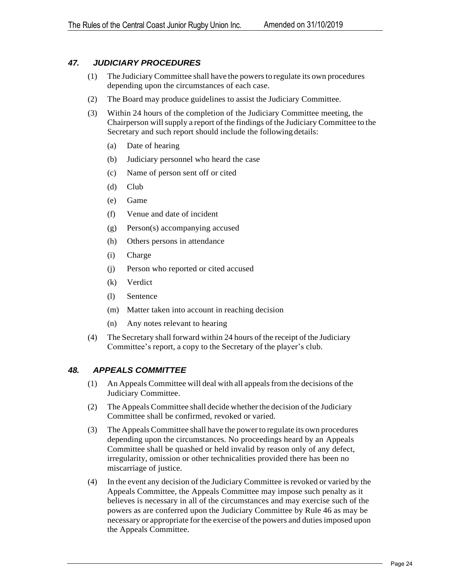# *47. JUDICIARY PROCEDURES*

- (1) The Judiciary Committee shall have the powers to regulate its own procedures depending upon the circumstances of each case.
- (2) The Board may produce guidelines to assist the Judiciary Committee.
- (3) Within 24 hours of the completion of the Judiciary Committee meeting, the Chairperson will supply a report of the findings of the Judiciary Committee to the Secretary and such report should include the following details:
	- (a) Date of hearing
	- (b) Judiciary personnel who heard the case
	- (c) Name of person sent off or cited
	- (d) Club
	- (e) Game
	- (f) Venue and date of incident
	- (g) Person(s) accompanying accused
	- (h) Others persons in attendance
	- (i) Charge
	- (j) Person who reported or cited accused
	- (k) Verdict
	- (l) Sentence
	- (m) Matter taken into account in reaching decision
	- (n) Any notes relevant to hearing
- (4) The Secretary shall forward within 24 hours of the receipt of the Judiciary Committee's report, a copy to the Secretary of the player's club.

#### *48. APPEALS COMMITTEE*

- (1) An Appeals Committee will deal with all appeals from the decisions of the Judiciary Committee.
- (2) The Appeals Committee shall decide whether the decision of the Judiciary Committee shall be confirmed, revoked or varied.
- (3) The Appeals Committee shall have the power to regulate its own procedures depending upon the circumstances. No proceedings heard by an Appeals Committee shall be quashed or held invalid by reason only of any defect, irregularity, omission or other technicalities provided there has been no miscarriage of justice.
- (4) In the event any decision of the Judiciary Committee is revoked or varied by the Appeals Committee, the Appeals Committee may impose such penalty as it believes is necessary in all of the circumstances and may exercise such of the powers as are conferred upon the Judiciary Committee by Rule 46 as may be necessary or appropriate for the exercise of the powers and duties imposed upon the Appeals Committee.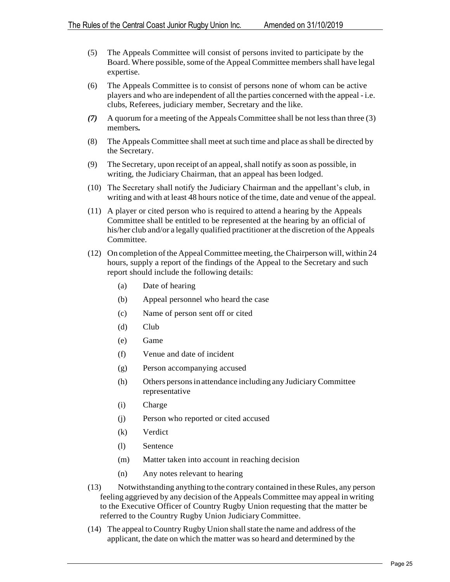- (5) The Appeals Committee will consist of persons invited to participate by the Board. Where possible, some of the Appeal Committee members shall have legal expertise.
- (6) The Appeals Committee is to consist of persons none of whom can be active players and who are independent of all the parties concerned with the appeal - i.e. clubs, Referees, judiciary member, Secretary and the like.
- *(7)* A quorum for a meeting of the Appeals Committee shall be not less than three (3) members*.*
- (8) The Appeals Committee shall meet at such time and place as shall be directed by the Secretary.
- (9) The Secretary, upon receipt of an appeal, shall notify as soon as possible, in writing, the Judiciary Chairman, that an appeal has been lodged.
- (10) The Secretary shall notify the Judiciary Chairman and the appellant's club, in writing and with at least 48 hours notice of the time, date and venue of the appeal.
- (11) A player or cited person who is required to attend a hearing by the Appeals Committee shall be entitled to be represented at the hearing by an official of his/her club and/or a legally qualified practitioner at the discretion of the Appeals Committee.
- (12) On completion ofthe Appeal Committee meeting, the Chairperson will, within 24 hours, supply a report of the findings of the Appeal to the Secretary and such report should include the following details:
	- (a) Date of hearing
	- (b) Appeal personnel who heard the case
	- (c) Name of person sent off or cited
	- (d) Club
	- (e) Game
	- (f) Venue and date of incident
	- (g) Person accompanying accused
	- (h) Others persons in attendance including any Judiciary Committee representative
	- (i) Charge
	- (j) Person who reported or cited accused
	- (k) Verdict
	- (l) Sentence
	- (m) Matter taken into account in reaching decision
	- (n) Any notes relevant to hearing
- (13) Notwithstanding anything to the contrary contained in these Rules, any person feeling aggrieved by any decision of the Appeals Committee may appeal in writing to the Executive Officer of Country Rugby Union requesting that the matter be referred to the Country Rugby Union Judiciary Committee.
- (14) The appeal to Country Rugby Union shall state the name and address of the applicant, the date on which the matter was so heard and determined by the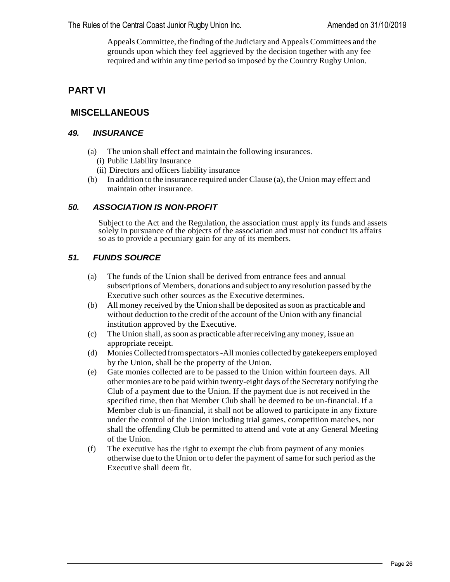Appeals Committee, the finding of the Judiciary and Appeals Committees and the grounds upon which they feel aggrieved by the decision together with any fee required and within any time period so imposed by the Country Rugby Union.

# **PART VI**

# **MISCELLANEOUS**

## *49. INSURANCE*

- (a) The union shall effect and maintain the following insurances.
	- (i) Public Liability Insurance
	- (ii) Directors and officers liability insurance
- (b) In addition to the insurance required under Clause (a), the Union may effect and maintain other insurance.

# *50. ASSOCIATION IS NON-PROFIT*

Subject to the Act and the Regulation, the association must apply its funds and assets solely in pursuance of the objects of the association and must not conduct its affairs so as to provide a pecuniary gain for any of its members.

#### *51. FUNDS SOURCE*

- (a) The funds of the Union shall be derived from entrance fees and annual subscriptions of Members, donations and subject to any resolution passed by the Executive such other sources as the Executive determines.
- (b) All money received by the Union shall be deposited as soon as practicable and without deduction to the credit of the account of the Union with any financial institution approved by the Executive.
- (c) The Union shall, as soon as practicable after receiving any money, issue an appropriate receipt.
- (d) Monies Collected from spectators -All monies collected by gatekeepers employed by the Union, shall be the property of the Union.
- (e) Gate monies collected are to be passed to the Union within fourteen days. All other monies are to be paid within twenty-eight days of the Secretary notifying the Club of a payment due to the Union. If the payment due is not received in the specified time, then that Member Club shall be deemed to be un-financial. If a Member club is un-financial, it shall not be allowed to participate in any fixture under the control of the Union including trial games, competition matches, nor shall the offending Club be permitted to attend and vote at any General Meeting of the Union.
- (f) The executive has the right to exempt the club from payment of any monies otherwise due to the Union or to defer the payment of same for such period as the Executive shall deem fit.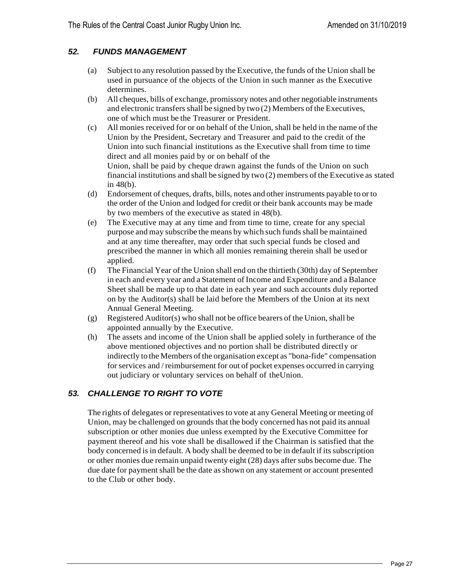# *52. FUNDS MANAGEMENT*

- (a) Subject to any resolution passed by the Executive, the funds of the Union shall be used in pursuance of the objects of the Union in such manner as the Executive determines.
- (b) All cheques, bills of exchange, promissory notes and other negotiable instruments and electronic transfers shall be signed by two  $(2)$  Members of the Executives, one of which must be the Treasurer or President.
- (c) All monies received for or on behalf of the Union, shall be held in the name of the Union by the President, Secretary and Treasurer and paid to the credit of the Union into such financial institutions as the Executive shall from time to time direct and all monies paid by or on behalf of the Union, shall be paid by cheque drawn against the funds of the Union on such financial institutions and shall be signed by two (2) members of the Executive as stated in 48(b).
- (d) Endorsement of cheques, drafts, bills, notes and other instruments payable to or to the order of the Union and lodged for credit or their bank accounts may be made by two members of the executive as stated in 48(b).
- (e) The Executive may at any time and from time to time, create for any special purpose and may subscribe the means by which such funds shall be maintained and at any time thereafter, may order that such special funds be closed and prescribed the manner in which all monies remaining therein shall be used or applied.
- (f) The Financial Year of the Union shall end on the thirtieth (30th) day of September in each and every year and a Statement of Income and Expenditure and a Balance Sheet shall be made up to that date in each year and such accounts duly reported on by the Auditor(s) shall be laid before the Members of the Union at its next Annual General Meeting.
- (g) Registered Auditor(s) who shall not be office bearers of the Union, shall be appointed annually by the Executive.
- (h) The assets and income of the Union shall be applied solely in furtherance of the above mentioned objectives and no portion shall be distributed directly or indirectly to the Members of the organisation except as "bona-fide" compensation for services and / reimbursement for out of pocket expenses occurred in carrying out judiciary or voluntary services on behalf of theUnion.

# *53. CHALLENGE TO RIGHT TO VOTE*

The rights of delegates or representatives to vote at any General Meeting or meeting of Union, may be challenged on grounds that the body concerned has not paid its annual subscription or other monies due unless exempted by the Executive Committee for payment thereof and his vote shall be disallowed if the Chairman is satisfied that the body concerned isin default. A body shall be deemed to be in default if its subscription or other monies due remain unpaid twenty eight (28) days after subs become due. The due date for payment shall be the date as shown on any statement or account presented to the Club or other body.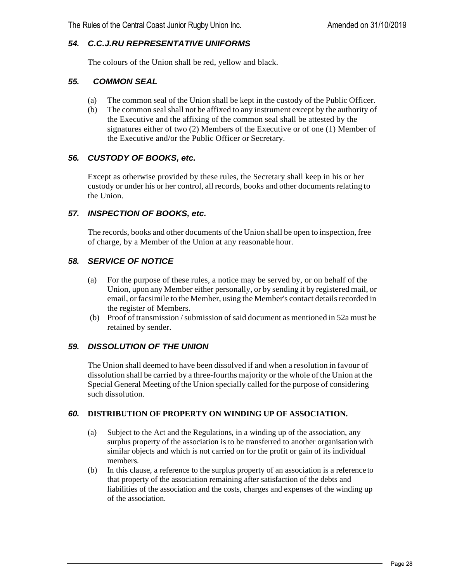# *54. C.C.J.RU REPRESENTATIVE UNIFORMS*

The colours of the Union shall be red, yellow and black.

#### *55. COMMON SEAL*

- (a) The common seal of the Union shall be kept in the custody of the Public Officer.
- (b) The common seal shall not be affixed to any instrument except by the authority of the Executive and the affixing of the common seal shall be attested by the signatures either of two (2) Members of the Executive or of one (1) Member of the Executive and/or the Public Officer or Secretary.

# *56. CUSTODY OF BOOKS, etc.*

Except as otherwise provided by these rules, the Secretary shall keep in his or her custody or under his or her control, all records, books and other documents relating to the Union.

#### *57. INSPECTION OF BOOKS, etc.*

The records, books and other documents of the Union shall be open to inspection, free of charge, by a Member of the Union at any reasonable hour.

#### *58. SERVICE OF NOTICE*

- (a) For the purpose of these rules, a notice may be served by, or on behalf of the Union, upon any Member either personally, or by sending it by registered mail, or email, or facsimile to the Member, using the Member's contact details recorded in the register of Members.
- (b) Proof of transmission / submission of said document as mentioned in 52a must be retained by sender.

#### *59. DISSOLUTION OF THE UNION*

The Union shall deemed to have been dissolved if and when a resolution in favour of dissolution shall be carried by a three-fourths majority or the whole of the Union at the Special General Meeting of the Union specially called for the purpose of considering such dissolution.

#### *60.* **DISTRIBUTION OF PROPERTY ON WINDING UP OF ASSOCIATION.**

- (a) Subject to the Act and the Regulations, in a winding up of the association, any surplus property of the association is to be transferred to another organisation with similar objects and which is not carried on for the profit or gain of its individual members.
- (b) In this clause, a reference to the surplus property of an association is a reference to that property of the association remaining after satisfaction of the debts and liabilities of the association and the costs, charges and expenses of the winding up of the association.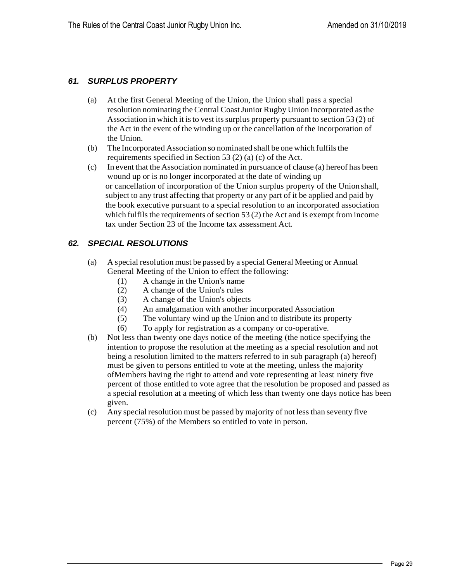# *61. SURPLUS PROPERTY*

- (a) At the first General Meeting of the Union, the Union shall pass a special resolution nominating the Central Coast Junior Rugby Union Incorporated as the Association in which it isto vest its surplus property pursuant to section 53 (2) of the Act in the event of the winding up or the cancellation of the Incorporation of the Union.
- (b) The Incorporated Association so nominated shall be one which fulfils the requirements specified in Section 53 (2) (a) (c) of the Act.
- (c) In event that the Association nominated in pursuance of clause (a) hereof has been wound up or is no longer incorporated at the date of winding up or cancellation of incorporation of the Union surplus property of the Union shall, subject to any trust affecting that property or any part of it be applied and paid by the book executive pursuant to a special resolution to an incorporated association which fulfils the requirements of section 53 (2) the Act and is exempt from income tax under Section 23 of the Income tax assessment Act.

# *62. SPECIAL RESOLUTIONS*

- (a) A special resolution must be passed by a special General Meeting or Annual General Meeting of the Union to effect the following:
	- (1) A change in the Union's name
	- (2) A change of the Union's rules
	- (3) A change of the Union's objects
	- (4) An amalgamation with another incorporated Association
	- (5) The voluntary wind up the Union and to distribute its property
	- (6) To apply for registration as a company or co-operative.
- (b) Not less than twenty one days notice of the meeting (the notice specifying the intention to propose the resolution at the meeting as a special resolution and not being a resolution limited to the matters referred to in sub paragraph (a) hereof) must be given to persons entitled to vote at the meeting, unless the majority ofMembers having the right to attend and vote representing at least ninety five percent of those entitled to vote agree that the resolution be proposed and passed as a special resolution at a meeting of which less than twenty one days notice has been given.
- (c) Any special resolution must be passed by majority of not less than seventy five percent (75%) of the Members so entitled to vote in person.